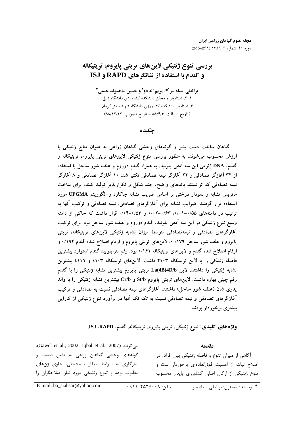# بررسي تنوع ژنتيكي لاينهاي تريتي پايروم، تريتيكاله **و گندم با استفاده از نشانگرهای RAPD و ISJ**

**براتعلي سياه سر<sup>امي</sup>، مريم اله دو<sup>2</sup> و حسين شاهسوند حسني<sup>1</sup>** ۱، ۲، استادیار و محقق دانشکده کشاورزی دانشگاه زابل ۳، استادیار دانشکده کشاورزی دانشگاه شهید باهنر کرمان (تاريخ دريافت: ٨٨/٤/٣ - تاريخ تصويب: ٨٨/١٢/١٢)

چکىدە

گیاهان ساخت دست بشر و گونههای وحشی گیاهان زراعی به عنوان منابع ژنتیکی با ارزش محسوب می شوند. به منظور بررسی تنوع ژنتیکی لاینهای تریتی پایروم، تریتیکاله و گندم، DNA ژنومی این سه آمفی پلوئید، به همراه گندم دوروم و علف شور ساحل با استفاده از ۳۲ آغازگر تصادفی و ۲۲ آغازگر نیمه تصادفی تکثیر شد. ۱۰ آغازگر تصادفی و ۸ آغازگر نیمه تصادفی که توانستند باندهای واضح، چند شکل و تکرارپذیر تولید کنند، برای ساخت ماتریس تشابه و نمودار درختی بر اساس ضریب تشابه جاکارد و الگوریتم UPGMA مورد استفاده قرار گرفتند. ضرایب تشابه برای آغازگرهای تصادفی، نیمه تصادفی و ترکیب آنها به ترتیب در دامنههای ۰/۰۱–۰/۰۱، ۰/۶۳–۰/۰۲ و ۰/۵۳–۰/۰۴ قرار داشت که حاکم از دامنه وسیع تنوع ژنتیکی در این سه اَمفی پلوئید، گندم دوروم و علف شور ساحل بود. برای ترکیب آغازگرهای تصادفی و نیمهتصادفی متوسط میزان تشابه ژنتیکی لاینهای تریتیکاله، تریتی پایروم و علف شور ساحل ۱۷۹/ ۰، لاینهای تریتی پایروم و ارقام اصلاح شده گندم ۱۹۴/۰ و ارقام اصلاح شده گندم و لاینهای تریتیکاله ۰/۱۶۱ بود. رقم تتراپلویید گندم استوارد بیشترین فاصله ژنتیکی را با لاین تریتیکاله ۴۱۰۳ داشت. لاینهای تریتیکاله ٤۱۰۳ و ٤۱۱٦ بیشترین تشابه ژنتیکی را داشتند. لاین La(4B)4D/b تریتی پایروم بیشترین تشابه ژنتیکی را با گندم رقم چینی بهاره داشت. لاینهای تریتی پایروم St/b و Cr/b بیشترین تشابه ژنتیکی را با والد پدری شان (علف شور ساحل) داشتند. آغازگرهای نیمه تصادفی نسبت به تصادفی و ترکیب آغازگرهای تصادفی و نیمه تصادفی نسبت به تک تک آنها در برآورد تنوع ژنتیکی از کارایی بیشتری برخوردار بودند.

واژەهاى كليدى: تنوع ژنتيكى، تريتى پايروم، تريتيكاله، گندم، ISJ ،RAPD.

#### مقدمه

. (Gawel et al., 2002; Iqbal et al., 2007). گونههای وحشی گیاهان زراعی به دلیل قدمت و سازگاری به شرایط متفاوت محیطی، حاوی ژنهای مطلوب بوده وتنوع ژنتیکی مورد نیاز اصلاحگران را

آگاهی از میزان تنوع و فاصله ژنتیکی بین افراد، در اصلاح نبات از اهمیت فوق|لعادهای برخوردار است و تنوع ژنتیکی از ارکان اصلی کشاورزی پایدار محسوب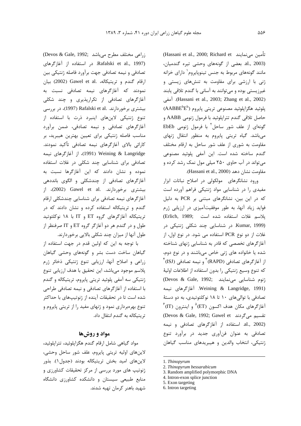(Hassani et al., 2000; Richard et تأمين مي نمايند al., 2003). بعضی از گونههای وحشی تیره گندمیان، مانند گونههای مربوط به جنس تینویایروم<sup>۱</sup> دارای خزانه ژنی با ارزشی برای مقاومت به تنشهای زیستی و غیرزیستی بوده و میتوانند به آسانی با گندم تلاقی پابند (Hassani et al., 2003; Zhang et al., 2002). آمفی  $(AABBE^bE^b)$  پلوئید هگزایلوئید مصنوعی تریتی پایروم (AABBE $\mathbb{P}^b$ حاصل تلاقي گندم تتراپلوئيد با فرمول ژنومي AABB و گونهای از علف شور ساحل<sup>٢</sup> با فرمول ژنومی EbEb می باشد. گیاه تریتی پایروم به منظور انتقال ژنهای مقاومت به شوری از علف شور ساحل به ارقام مختلف گندم ساخته شده است. این آمفی پلوئید مصنوعی می تواند در آب حاوی ۲۵۰ میلی مول نمک رشد کرده و مقاومت نشان دهد (Hassani et al., 2000).

ورود نشانگرهای مولکولی در اصلاح نباتات ابزار مفیدی را در شناسایی مواد ژنتیکی فراهم آورده است که در این بین، نشانگرهای مبتنی بر PCR به دلیل فواید زیاد آنها، به طور موفقیتآمیزی در ارزیابی ژرم يلاسم غلات استفاده شده است (Erlich, 1989; (Kumar, 1999. در شناسایی چند شکلی ژنتیکی در غلات از دو نوع PCR استفاده می شود. در نوع اول، از آغاز گرهای تخصصی که قادر به شناسایی ژنهای شناخته شده یا خانواده های ژنی خاص میباشند و در نوع دوم، از آغازگرهای تصادفی (RAPD) ؓ و نیمه تصادفی (ISJ) ٌ كه تنوع وسيع ژنتيكي را بدون استفاده از اطلاعات اوليهٔ (Devos & Gale, 1992; می نمایند) Weining & Langridge, 1991). آغازگرهای نیمه تصادفی با توالی های ۱۰ تا ۱۸ نوکلئوتیدی، به دو دستهٔ  $\check{~}$ (IT) آغاز گرهای مکان هدف اکسون (ET) و اینترون (IT) (Devos & Gale, 1992; Gawel et تقسیم می گردند al., 2002). استفاده از آغازگرهای تصادفی و نیمه تصادفی به عنوان فنآوری جدید در برآورد تنوع ژنتیکی، انتخاب والدین و هیبریدهای مناسب گیاهان

5. Exon targeting

(Devos & Gale, 1992; راعی مختلف مطرح می باشد) Rafalski et al., 1997). در استفاده از آغازگرهای تصادفی و نیمه تصادفی جهت برآورد فاصله ژنتیکی بین ارقام گندم و تریتیکاله، .Gawel et al (2002) بیان نمودند که آغازگرهای نیمه تصادفی نسبت به آغازگرهای تصادفی از تکراریذیری و چند شکلی بیشتری برخوردارند. .Rafalski et al (1997)، در بررسی تنوع ژنتیکی لاینهای اینبرد ذرت با استفاده از آغازگرهای تصادفی و نیمه تصادفی، ضمن برآورد مناسب فاصله ژنتیکی برای تعیین بهترین هیبرید، بر كارائي بالاي آغازگرهاي نيمه تصادفي تأكيد نمودند. l Weining & Langridge)، از آغازگرهای نیمه تصادفی برای شناسایی چند شکلی در غلات استفاده نموده و نشان دادند که این آغازگرها نسبت به آغازگرهای تصادفی از چندشکلی و الگوی بانددهی بيشترى برخوردارند. .Gawel et al (2002)، از آغازگرهای نیمه تصادفی برای شناسایی چندشکلی ارقام گندم و تریتیکاله استفاده کرده و نشان دادند که در تريتيكاله آغازگرهاى گروه ET و IT با ١٨ نوكلئوتيد طول و در گندم هر دو آغازگر گروه ET و IT صرفنظر از طول آنها از میزان چند شکلی بالایی برخوردارند.

با توجه به این که اولین قدم در جهت استفاده از گیاهان ساخت دست بشر و گونههای وحشی گیاهان زراعی و اصلاح آنها، ارزیابی تنوع ژنتیکی ذخائر ژرم پلاسم موجود می باشد، این تحقیق با هدف ارزیابی تنوع ژنتیکی سه آمفی پلوئید تریتی پایروم، تریتیکاله و گندم با استفاده از آغازگرهای تصادفی و نیمه تصادفی طراحی شده است تا در تحقیقات آینده از ژنوتیپهای با حداکثر تنوع بهرهبرداری نمود و ژنهای مفید را از تریتی پایروم و تریتیکاله به گندم انتقال داد.

## مواد و روشها

مواد گیاهی شامل ارقام گندم هگزایلوئید، تترایلوئید، لاينهاي اوليه تريتي پايروم، علف شور ساحل وحشى، لاينهاي اميد بخش تريتيكاله بودند (جدول ١). بذور ژنوتیپ های مورد بررسی از مرکز تحقیقات کشاورزی و منابع طبیعی سیستان و دانشکده کشاورزی دانشگاه شهید باهنر کرمان تهیه شدند.

<sup>1.</sup> Thinopyrum

<sup>2.</sup> Thinopyrum bessarabicum

<sup>3.</sup> Random amplified polymorphic DNA

<sup>4.</sup> Intron-exon splice junction

<sup>6.</sup> Intron targeting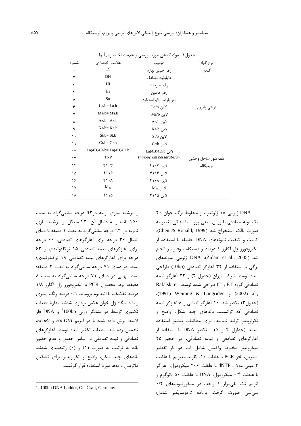| شماره         | علامت اختصارى           | ژنوتيپ                  | نوع گياه                       |
|---------------|-------------------------|-------------------------|--------------------------------|
| ١             | CS                      | رقم چينې بهاره          | گندم                           |
| ٢             | DH                      | هايلوئيد مضاعف          |                                |
| ٣             | Hi                      | رقم هيرمند              |                                |
| ۴             | Ha                      | رقم هامون               |                                |
| ۵             | Stt                     | تترایلوئید رقم استوارد  |                                |
| ۶             | $La/b = La.b$           | لاين La/b               | تريتي پايروم                   |
| ٧             | $Ma/b = Ma.b$           | لاين Ma/b               |                                |
| γ             | $Az/b = Az.b$           | لاين Az/b               |                                |
| ٩             | Ka/b= Ka.b              | لاين Ka/b               |                                |
| ١.            | $St/b = St.b$           | لاين St/b               |                                |
| ۱۱            | $Cr/b = Cr.b$           | لاين Cr/b               |                                |
| $\mathcal{N}$ | $La(4B)4D/b=La(4B)4D.b$ | لاين La(4B)4D/b         |                                |
| ۱۳            | <b>TNP</b>              | Thinopyrum bessarabicum |                                |
| ۱۴            | ۴۱۰۳                    | لاین ۴۱۰۳               | علف شور ساحل وحشى<br>تريتيكاله |
| ۱۵            | ۴۱۱۶                    | لاین ۱۱۶)               |                                |
| ۱۶            | $f \cdot \Lambda$       | لاین ۴۱۰۸               |                                |
| ۱۷            | $M_{45}$                | لاين M <sub>45</sub>    |                                |
| ۱۸            | ۴۱۱۵                    | لاین ۴۱۱۵               |                                |
|               |                         |                         |                                |

جدول ۱- مواد گیاهی مورد بررسی و علامت اختصاری آنها

واسرشته سازی اولیه در ۹۳ درجه سانتی گراد به مدت ۱۵۰ ثانیه و به دنبال آن ۴۲ سیکل؛ واسرشته سازی ثانويه در ۹۳ درجه سانتي گراد به مدت ۱ دقيقه با دماي اتصال ۳۶ درجه برای آغازگرهای تصادفی، ۶۰ درجه برای آغازگرهای نیمه تصادفی ۱۵ نوکلئوتیدی و ۶۳ درجه برای آغازگرهای نیمه تصادفی ۱۸ نوکلئوتیدی؛ بسط در دمای ۷۱ درجه سانتیگراد به مدت ۲ دقیقه؛ بسط نهایی در دمای ۷۱ درجه سانتی گراد به مدت ۸ دقيقه، بود. محصول PCR با الكتروفورز ژل آگارز ١/٨ درصد تفکیک، با اتیدیوم بروماید ۰/۱ درصد رنگ آمیزی و با دستگاه ژل خوان عکس برداری شدند. اندازهٔ قطعات تکثیری توسط دو نشانگر وزنی DNA و DNA فاژ لامبدا برش داده شده با دو آنزیم HinDIII و EcoRI. تخمین زده شد. قطعات تکثیر شده توسط آغازگرهای تصادفی و نیمه تصادفی بر اساس حضور و عدم حضور باند به ترتیب به صورت (۱) و (۰) رتبهبندی شدند. باندهای چند شکل، واضح و تکرارپذیر برای تشکیل ماتریس دادهها مورد استفاده قرار گرفتند.

DNA ژنومی ۱۸ ژنوتیپ، از مخلوط برگ جوان ۲۰ تک بوته تصادفی با روش مینی پروب با اندکی تغییر به صورت بالک استخراج شد (Chen & Ronald, 1999). کمیت و کیفیت نمونههای DNA حاصله با استفاده از الکتروفورز ژل آگارز ۱ درصد و دستگاه بیوفتومتر انجام شد (Zidani et al., 2005). DNA ژنومی نمونههای برگی با استفاده از ۳۲ آغازگر تصادفی (10bp) طراحی شده توسط شركت اپران (جدول ٢) و ٢٢ أغازگر نيمه تصادفی گروه ET و IT طراحی شده توسط Rafalski et .(1991) Weining & Langridge و 1991). (جدول۳) تکثیر شد. ۱۰ آغازگر تصافی و ۸ آغازگر نیمه تصادفی که توانستند باندهای چند شکل، واضح و تکراریذیر تولید نمایند، برای مطالعات بیشتر استفاده شدند (جداول ۴ و ۵). تكثير DNA با استفاده از آغازگرهای تصادفی و نیمه تصادفی، در حجم ۲۵ میکرولیتر مخلوط واکنش شامل آب دو بار تقطیر استريل، بافر PCR با غلظت ١x، كلريد منيزيم با غلظت ۳ میلی مولار، dNTP با غلظت ۲۰۰ میکرومول، آغازگر با غلظت ۰/۴ میکرومول، DNA با غلظت ۵۰ نانوگرم و آنزیم تک پلی مراز ۱ واحد، در میکروتیوپهای ۰/۲ سے سے صورت گرفت. برنامه ترموسایکلر شامل:

<sup>1. 100</sup>bp DNA Ladder, GenCraft, Germany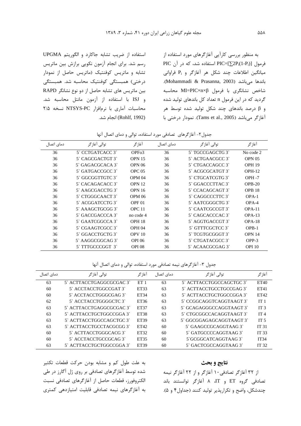به منظور بررسی کارآبی آغازگرهای مورد استفاده از  $\mathrm{PIC}$  فرمول [ $\mathrm{PIC}=[\sum \! 2\mathrm{P_i(1\text{-}P_i)}]$  استفاده شد، که در آن میانگین اطلاعات چند شکل هر آغازگر و P<sub>i</sub> فراوانی .<br>باندها میباشد (Mohammadi & Prasanna, 2003). شاخص نشانگری با فرمول MI=PIC×n×β محاسبه گردید که در این فرمول n تعداد کل باندهای تولید شده و β درصد باندهای چند شکل تولید شده توسط هر .<br>أغازگر مي،باشد (2005 .Tams et al). نمودار درختي با

.<br>استفاده از ضریب تشابه جاکارد و الگوریتم UPGMA ,سم شد. براي انجام آزمون نکوبي برازش بين ماتريس تشابه و ماتریس کوفنتیک (ماتریس حاصل از نمودار د. *ختي)* هميستگي كوفنتيك محاسبه شد. هميستگي .<br>بین ماتریس های تشابه حاصل از دو نوع نشانگر RAPD .<br>ذ و ISJ با استفاده از آزمون مانتل محاسبه شد. محاسبات آماری با نرمافزار NTSYS-PC نسخه ۲/۵ (Rohlf, 1992) انجام شد.

حدول ۲– آغا: گ های ، تصادف مورد استفاده، توالی و دمای اتصال آنها

| دمای اتصال | توالى أغازگر     | آغازگر             | دمای اتصال | توالى أغازگر     | آغاز گر           |
|------------|------------------|--------------------|------------|------------------|-------------------|
| 36         | 5' CCTGATCACC 3' | OPF <sub>o</sub> 3 | 36         | 5' TGCCGAGCTG 3' | No code 2         |
| 36         | 5' CAGCGACTGT 3' | <b>OPN 15</b>      | 36         | 5 ACTGAACGCC 3   | OPN <sub>05</sub> |
| 36         | 5 GAGACGCACA 3   | <b>OPN 06</b>      | 36         | 5 CTGACCAGCC 3   | <b>OPH 19</b>     |
| 36         | 5 GATGACCGCC 3   | OPC <sub>05</sub>  | 36         | 5 ACGCGCATGT 3   | $OPH-12$          |
| 36         | 5 GGCGGTTGTC 3   | OPM <sub>04</sub>  | 36         | 5' CTGCATCGTG 3' | $OPH - 7$         |
| 36         | 5' CACAGACACC 3' | OPN <sub>12</sub>  | 36         | 5' GGACCCTTAC 3' | $OPB-20$          |
| 36         | 5 AAGCGACCTG 3   | <b>OPN 16</b>      | 36         | 5 CCACAGCAGT 3   | OPB <sub>18</sub> |
| 36         | 5' CTGGGCAACT 3' | <b>OPM 06</b>      | 36         | 5 CAGGCCCTTC 3   | $OPA-1$           |
| 36         | 5 ACGGATCCTG 3   | OPF <sub>01</sub>  | 36         | 5 AATCGGGCTG3    | $OPA-4$           |
| 36         | 5 AAAGCTGCGG3    | OPC <sub>11</sub>  | 36         | 5' CAATCGCCGT 3' | $OPA-11$          |
| 36         | 5 GACCGACCCA 3   | no code 4          | 36         | 5' CAGCACCCAC 3' | $OPA-13$          |
| 36         | 5 GAATCGGCCA 3   | <b>OPH 18</b>      | 36         | 5 AGGTGACCGT 3   | $OPA-18$          |
| 36         | 5 CGAAGTCGCC 3   | <b>OPH 04</b>      | 36         | 5 GTTTCGCTCC 3   | $OPB-1$           |
| 36         | 5' GGACCTGCTG 3' | OPV <sub>10</sub>  | 36         | 5' TCGTGCGGGT 3' | <b>OPN 14</b>     |
| 36         | 5 AAGGCGGCAG3    | <b>OPI 06</b>      | 36         | 5' CTGATACGCC 3' | OPP-3             |
| 36         | 5 TTTGCCCGGT 3   | <b>OPI 08</b>      | 36         | 5 ACAACGCGAG 3   | <b>OPI</b> 10     |
|            |                  |                    |            |                  |                   |

حدول ۳- آغا: گ های نیمه تصادفی مورد استفاده، توالی و دمای اتصال آنها

| دمای اتصال | توالي آغازگر             | آغاز گر         | دمای اتصال | توالى أغازگر             | آغاز گر          |
|------------|--------------------------|-----------------|------------|--------------------------|------------------|
| 63         | 5` ACTTACCTGAGGCGCGAC 3` | ET <sub>1</sub> | 63         | 5` ACTTACCTGGCCAGCTGC 3` | ET40             |
| 60         | 5 ACCTACCTGGCCGAT 3      | ET33            | 63         | 5` ACTTACCTGCCTGCCGAG 3` | ET41             |
| 60         | 5` ACCTACCTGGGCGAG 3`    | ET34            | 63         | 5` ACTTACCTGCTGGCCGGA 3` | ET42             |
| 62         | 5 ACCTACCTGGGGCTC 3      | ET36            | 63         | 5` CCGGCAGGTCAGGTAAGT 3` | IT <sub>1</sub>  |
| 63         | 5` ACTTACCTGAGGCGCGAC 3` | ET37            | 63         | 5` GCAGAGGGCCAGGTAAGT 3` | IT <sub>3</sub>  |
| 63         | 5` ACTTACCTGCTGGCCGGA 3` | ET38            | 63         | 5` CTGCGGCCACAGGTAAGT 3` | IT <sub>4</sub>  |
| 63         | 5` ACTTACCTGGCCAGCTGC 3` | ET39            | 63         | 5` GGCGGAGAGCAGGTAAGT 3` | IT $5$           |
| 63         | 5` ACTTACCTGCCTACGCGG 3` | ET42            | 60         | 5` GAAGCCGCAGGTAAG 3`    | IT <sub>31</sub> |
| 60         | 5 ACTTACCTGGGCACG 3      | ET32            | 60         | 5 GATGCCCCAGGTAAG 3      | IT <sub>33</sub> |
| 60         | 5' ACCTACCTGCCGCAG 3'    | ET35            | 60         | 5 GCGGCATCAGGTAAG 3      | <b>IT34</b>      |
| 63         | 5` ACTTACCTGCTGGCCGGA 3` | ET39            | 60         | 5' GACTCGCCAGGTAAG 3'    | IT <sub>32</sub> |

به علت طول کم و مشابه بودن حرکت قطعات تکثیر .<br>شده توسط آغازگرهای تصادفی بر روی ژل آگارز در طی الكتروفون، قطعات حاصل إن أغازگرها*ی* تصادف نسبت به آغا:گرهای نیمه تصادفی قابلیت امتیا:دهی کمتری

### نتايج و بحث

I

ا: ۳۲ آغا: گ تصادفی ۱۰ آغا: گ و از ۲۲ آغا: گ نیمه تصادفی گروه ET و IT، ۸ آغازگر توانستند باند حندشکا ، واضح و تکراریذر تولید کنند (حداول۴ و ۵).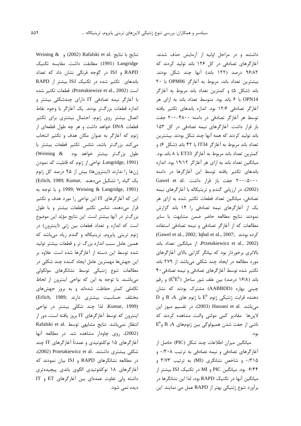Weining & (2002) Rafalski et al. نتايج با نتايج Langridge (1991) مطابقت داشت. مقايسه تكنيك RAPD و ISJ در گوجه فرنگی نشان داد که تعداد باندهای تکثیر شده در تکنیک ISJ بیشتر از RAPD است (Przetakiewize et al., 2002). قطعات تكثير شده با آغازگر نیمه تصادفی IT دارای چندشکلی بیشتر و اندازه قطعات بزرگتر بودند. یک آغازگر با وجود نقاط اتصال بیشتر روی ژنوم، احتمال بیشتری برای تکثیر قطعات DNA خواهد داشت و هر چه طول قطعهای از ژنوم که آغازگر به عنوان مکان هدف و تکثیر انتخاب می کند بزرگتر باشد، شانس تکثیر قطعات بیشتر با طول بزرگتر بیشتر خواهد بود Weining & Langridge, 1991). نواحی از ژنوم که قابلیت کد نمودن ژنها را ندارند (اینترونها) بیش از ۹۵ درصد کل ژنوم یک گیاه را تشکیل می دهند ,Erlich, 1989; Kumar و با توجه به 1999; Weining & Langridge, 1991) این که آغازگرهای IT این نواحی را مورد هدف و تکثیر قرار میدهند، شانس تکثیر قطعات بیشتر و با طول بزرگتر در آنها بیشتر است. این نتایج مؤیّد این موضوع است كه اندازه و تعداد قطعات بين ژني (اينترون) در ژنوم تریتی پایروم، تریتیکاله و گندم زیاد میباشد که همین عامل سبب اندازه بزرگ تر و قطعات بیشتر تولید شده توسط این دسته از آغازگرها شده است. علاوه بر این جهشها مهمترین عامل ایجاد کننده چند شکلی در مطالعات تنوع ژنتيكى توسط نشانگرهاى مولكولى می باشند. با توجه به این که نواحی اینترون از لحاظ تکاملی کمتر حفاظت شدهاند و به بروز جهشهای مختلف حساسيت بيشترى دارند ;Erlich, 1989) (Kumar, 1999)، لذا چند شکلی بیشتر در نواحی اینترون که توسط آغازگرهای IT بروز یافته است، دور از Rafalski et al. انتظار نمی باشد. نتایج مشابهی توسط (2002)، روی چاودار مشاهده شد. در مطالعه آنها آغازگرهای ۱۵ نوکلئوتیدی و عمدتاً آغازگرهای IT چند شكلى بيشترى داشتند. .Przetakiewicz et al (2002) در مطالعه نشانگرهای RAPD و ISJ بیان نمودند که آغازگرهای ۱۸ نوکلئوتیدی الگوی باندی پیچیدهتری داشته ولی تفاوت عمدهای بین آغاز گرهای ET و IT ديده نمي شود.

داشتند و در مراحل اولیه از آزمایش حذف شدند. آغازگرهای تصادفی در کل ۱۲۶ باند تولید کردند که ۹۶/۸۲ درصد (۱۲۲ باند) آنها چند شکل بودند. بيشترين تعداد باند، مربوط به آغازكر OPM06 با ٢٠ باند (شكل ۵) و كمترين تعداد باند مربوط به آغازگر OPN14 با ۶ باند بود. متوسط تعداد باند به ازای هر آغازگر تصادفی ۱۲/۶ بود. اندازه باندهای تکثیر یافته توسط هر آغازگر تصادفی در دامنه ۴۸۰۰-۲۰۰ جفت باز قرار داشت. آغازگرهای نیمه تصادفی در کل ۱۵۳ باند تولید کردند که همه آنها چند شکل بودند. بیشترین تعداد باند مربوط به آغازگر IT34 با ۴۲ باند (شکل ۶) و كمترين تعداد باند مربوط به آغازگر ET33 با ۸ باند بود. میانگین تعداد باند به ازای هر آغازگر ۱۹/۱۲ بود. اندازه باندهای تکثیر یافته توسط این آغازگرها در دامنه ۲۰۰-۵۰۰۰ جفت باز قرار داشت. .Gawel et al (2002)، در ارزیابی گندم و تریتیکاله با آغازگرهای نیمه تصادفی، میانگین تعداد قطعات تکثیر شده به ازای هر یک از آغازگرهای نیمه تصادفی را ۱۴ باند گزارش نمودند. نتايج مطالعه حاضر ضمن مشابهت با ساير مطالعات که از آغازگر تصادفی و نیمه تصادفی استفاده Cawel et al., 2002; Iqbal et al., 2007; كرده بودند Przetakiewicz et al., 2002)، از میانگین تعداد باند بالاتری برخوردار بود که بیانگر کارایی بالای آغازگرهای مورد مطالعه در ایجاد چند شکلی میباشد. از ۲۷۹ باند تکثیر شده توسط آغازگرهای تصادفی و نیمه تصادفی ۴۰ باند (۱۶/۸ درصد) بین علف شور ساحل (E $^{\rm b}\text{E}^{\rm b}$ ) و رقم چینی بهاره (AABBDD) مشترک بودند که نشان D دهنده قرابت ژنتیکی ژنوم  $E^b$  با ژنوم های A، B و میباشد. .Hassani et al (2003)، در تقسیم میوز این لاینها مقادیر کمی مولتی والنت مشاهده کردند که  $E^b$ و B ،A ناشی از جفت شدن همیولوگی بین ژنومهای B ،A و بود.

ميانگين ميزان اطلاعات چند شكل (PIC) حاصل از آغازگرهای تصادفی و نیمه تصادفی به ترتیب ۰/۳۰۸ و ۰/۳۱۵ و شاخص نشانگری (MI) به ترتیب ۳/۷۳ و ۶/۴۴ بود. میانگین PIC و MI در تکنیک ISJ بیشتر از میانگین آنها در تکنیک RAPD بود، لذا این نشانگرها در برآورد تنوع ژنتیکی بهتر از RAPD عمل می نمایند. این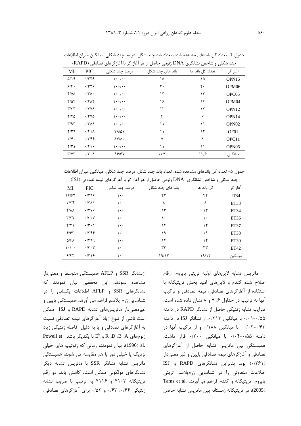|                                   |                      |                      | چند شکلی و شاخص نشانگری DINA ژنومی حاصل از هر آغاز کر با آغاز کرهای تصادفی (KAPD) |                  |                   |
|-----------------------------------|----------------------|----------------------|-----------------------------------------------------------------------------------|------------------|-------------------|
| MI                                | <b>PIC</b>           | درصد چند شکلی        | باند های چند شکل                                                                  | تعداد کل باند ها | آغاز گر           |
| $\Delta/\lambda$ 9                | .7799                | $\cdot \cdot \cdot$  | ۱۵                                                                                | ۱۵               | OPN <sub>15</sub> |
| 9/5.                              | $\cdot$ /۳۲ $\cdot$  | $\cdot \cdot \cdot$  | ٢٠                                                                                | ٢٠               | OPM <sub>06</sub> |
| 4100                              | $\cdot$ /٣۵۰         | $\cdot \cdot \cdot$  | ۱۳                                                                                | ۱۳               | OPC <sub>05</sub> |
| $f/\Delta f$                      | .77                  | $\cdot \cdot \cdot$  | ۱۶                                                                                | ۱۶               | OPM <sub>04</sub> |
| $\mathbf{r}/\mathbf{r}$           | $\cdot$ /۲۷۸         | $\cdot \cdot \cdot$  | ۱۲                                                                                | ۱۲               | OPN <sub>12</sub> |
| ۲/۲۵                              | $\cdot$ /۳۷۵         | $\cdot \cdot \cdot$  | ۶                                                                                 | ۶                | OPN14             |
| $\mathbf{r}/\mathbf{a}\mathbf{r}$ | $\cdot$ /۳۵۸         | $\cdot \cdot \cdot$  | ۱۱                                                                                | ۱۱               | OPN <sub>02</sub> |
| $Y/Y$ ۹                           | .771                 | VA/AV                | ۱۱                                                                                | ۱۴               | OF <sub>01</sub>  |
| $\mathbf{Y}/\mathbf{f}$ .         | .7799                | $\lambda V/\Delta$ . | ٧                                                                                 | ٨                | OPC11             |
| $\Upsilon/\Upsilon$               | $\cdot$ /۲۱ $\cdot$  | $\cdot \cdot \cdot$  | ۱۱                                                                                | ۱۱               | OPN <sub>05</sub> |
| $\Upsilon/\Upsilon\Upsilon$       | $\cdot$ /۳ $\cdot$ ۸ | 98187                | ۱۲/۲                                                                              | ۱۲۶              | ميانگين           |

حدول ۴– تعداد کل باندهای مشاهده شده، تعداد باند جند شکل، درصد جند شکلی، میانگین میزان اطلاعات چند شکلی و شاخص نشانگری DNA ژنومی حاصل از هر آغاز گر با آغازگرهای تصادفی (RAPD)

حدول ۵– تعداد کل باندهای مشاهده شده، تعداد باند جند شکل، درصد جند شکلی، میانگین میزان اطلاعات چند شکلی و شاخص نشانگری DNA ژنومی حاصل از هر آغاز گر با آغازگرهای نیمه تصادفی (ISJ)

| ی ہیں۔                |                      | ر ر ب<br>.    | ں ر<br>ر ر پ     | رب<br>َب<br>ت ر | $\mathbf{r}$     |
|-----------------------|----------------------|---------------|------------------|-----------------|------------------|
| MI                    | <b>PIC</b>           | درصد چند شکلی | باند های چند شکل | کل باند ها      | آغاز گر          |
| 18185                 | .799                 | ۱۰۰           | ۴۲               | ۴۲              | IT34             |
| Y/YF                  | $\cdot$ /٢٨١         | ۱۰۰           | ٨                | ٨               | ET <sub>33</sub> |
| $f/\lambda\lambda$    | .7799                | ۱۰۰           | ۱۳               | ۱۳              | ET34             |
| Y/YY                  | $\cdot$ $/$ ۳۲۷      | ۱۰۰           | ۱۰               | ۱۰              | ET36             |
| f/Y                   | $\cdot$ /۳ $\cdot$ ) | ۱۰۰           | ۱۴               | ۱۴              | ET37             |
| F/FY                  | .759                 | ۱۰۰           | ۱۹               | ۱۹              | ET38             |
| $\Delta$ /۶ $\Lambda$ | $\cdot$ /۲۹۹         | ۱۰۰           | ۱۴               | ۱۴              | ET39             |
| $\mathcal{L}$         | $\cdot$ /۳ $\cdot$ ۳ | ۱۰۰           | ٣٣               | ٣٣              | ET42             |
| 9/88                  | $\cdot$ /۳۱۶         | $\cdots$      | ۱۹/۱۲            | 19/17           | ميانگين          |
|                       |                      |               |                  |                 |                  |

ازنشانگر SSR و AFLP همبستگی متوسط و معنیدار مشاهده نمودند. ابن محققین بیان نمودند که .<br>نشانگرهای SSR و AFLP اطلاعات یکسانی را در شناسایی ژرم بلاسم فراهم می آورند. همیستگی بایین و غيرمعنى دار ماتريس هاى تشابه RAPD و ISJ ممكن است ناشہ از تنوع زباد آغازگ های نیمه تصادفی نسبت به آغازگرهای تصادفی و با به دلیل فاصله ژنتیکی زباد Powell et . و E<sup>b</sup> با يكديگر باشد. Powell et و E <u>:</u> .al (1996)، بيان نمودند، زماني كه ژنوتيپ هاي خيلي .<br>ن .<br>نزدیک با خیلے دور یا هم مقایسه مے شوند، همیستگ*ے* ماتریس تشابه نشانگر SSR با ماتریس تشابه دیگر .<br>نشانگرهای مولکول*ی* ممکن است، کاهش باید. دو رقم تریتیکاله ۴۱۰۳ و ۴۱۱۶ به ترتیب با ضریب تشابه ....<br>تنتیکی ۱۴۴، ۱۶۳، ۱۵۳، ۳۰/۵۳ دای آغازگرهای تصادف

ماتریس تشابه لاینهای اولیه تریتی پایروم، ارقام اصلاح شده گندم و لاینهای امید بخش تریتیکاله با .<br>استفاده از آغازگرهای تصادف، نیمه تصادف و ترکیب .<br>آنها به ترتیب د. حداول ۶، ۷ و ۸ نشان داده شده است. ضرایب تشابه ژنتیکی حاصل از نشانگر RAPD در دامنه ۰/۰۱-۰/۵۵ با میانگین ۰/۲۱۳، از نشانگر ISJ در دامنه ۰/۰۲–۰/۰۲ ما میانگ ۰/۱۸۸ و از ترکیب آنها د. دامنه ۰/۵۵–۰/۰۴ با میانگ ۰/۲۰۰ قال داشت. همبستگی بین ماتریس تشابه حاصل از آغازگرهای تصادف و آغازگرهای نیمه تصادف بایین و غیر معنی دار .<br>(۰/۲۶۱ بود. بنابراین نشانگرهای RAPD و ISJ اطلاعات متفاوتی را در شناسایی ژرمپلاسم تریتی .<br>پایروم، تریتیکاله و گندم فراهم میآورند. .Tams et al .<br>(2005)، در تريتيكاله زمستانه بين ماتريس تشابه حاصل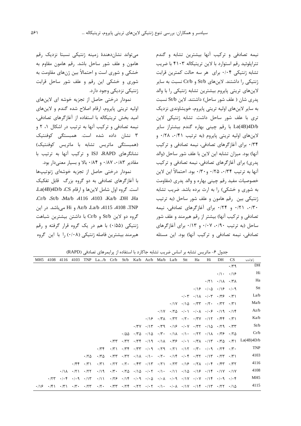نیمه تصادفی و ترکیب آنها بیشترین تشابه و گندم تترایلوئید رقم استوارد با لاین تریتیکاله ۴۱۰۳ با ضریب تشابه ژنتیکی ۰/۰۴ برای هر سه حالت کمترین قرابت ژنتیکی را داشتند. لاینهای St/b و Cr/b نسبت به سایر لاینهای تریتی پایروم بیشترین تشابه ژنتیکی را با والد يدري شان ( علف شور ساحل) داشتند. لاين St/b نسبت به سایر لاینهای اولیه تریتی پایروم، خویشاوندی نزدیک تری با علف شور ساحل داشت. تشابه ژنتیکی لاین La(4B)4D/b با رقم چینی بهاره گندم بیشتراز سایر لاينهاى اوليه تريتي پايروم (به ترتيب ٠/٢١، ٠/٤١ و ۰/۳۴ برای آغازگرهای تصادفی، نیمه تصادفی و ترکیب آنها) بود. میزان تشابه این لاین با علف شور ساحل (والد پدری) برای آغازگرهای تصادفی، نیمه تصادفی و ترکیب آنها به ترتيب ۰/۳۴ ، ۰/۲۵ و ۰/۳۰ بود. احتمالاً اين لاين خصوصیات مفید رقم چینی بهاره و والد پدری (مقاومت به شوری و خشکی) را به ارث برده باشد. ضریب تشابه ژنتیکی بین رقم هامون و علف شور ساحل (به ترتیب ۰/۳۰، ۰/۲۱ و ۰/۲۴ برای آغازگرهای تصادفی، نیمه تصادفی و ترکیب آنها) بیشتر از رقم هیرمند و علف شور ساحل (به ترتیب ۰/۹۰، ۰/۰۷ و ۰/۱۳ برای آغازگرهای تصادفی، نیمه تصادفی و ترکیب آنها) بود. این مسئله

می تواند نشاندهندهٔ زمینه ژنتیکی نسبتا نزدیک رقم هامون و علف شور ساحل باشد. رقم هامون مقاوم به خشکی و شوری است و احتمالاً بین ژنهای مقاومت به شوری و خشکی این رقم و علف شور ساحل قرابت ژنتیکی نزدیکی وجود دارد.

نمودار درختی حاصل از تجزیه خوشه ای لاینهای اوليه تريتي پايروم، ارقام اصلاح شده گندم و لاين هاي امید بخش تریتیکاله با استفاده از آغازگرهای تصادفی، نیمه تصادفی و ترکیب آنها به ترتیب در اشکال ۰۱ ۲ و ۳ نشان داده شده است. همبستگی کوفنتیک (همبستگی ماتریس تشابه با ماتریس کوفنتیک) نشانگرهای ISJ ،RAPD و ترکیب آنها به ترتیب با مقادیر ۰/۸۲، ۰/۸۷ و ۰/۸۴ بالا و بسیار معنیدار بود.

نمودار درختی حاصل از تجزیه خوشهای ژنوتیپها با آغازگرهای تصادفی به دو گروه بزرگ قابل تفکیک است. گروه اول شامل لاینها و ارقام La(4B)4D/b .CS Cr/b St/b Ma/b 4116 4103 Ka/b DH Ha Az/b ،La/b ،4115 ،4108 ،TNP و Hi مي باشد. در اين گروه دو لاین St/b و Cr/b با داشتن بیشترین شباهت ژنتیکی (۰/۵۵) با هم در یک گروه قرار گرفته و رقم هیرمند بیشترین فاصله ژنتیکی (۰/۰۸) را با این گروه

جدول ۶- ماتریس تشابه بر اساس ضریب تشابه جاکارد با استفاده از پرایمرهای تصادفی (RAPD)

| MH5         | 4108        | 4116                         | 4103                | <b>TNP</b>                                   | La/b               | Cr/b        | St/b               | Ka/b | Az/b                              | Ma/b                                                                                                                      | La/b | Stt                     | Ha                                                                  | Hi | DH                                                                                            | <b>CS</b>                            | ژنوتيپ          |
|-------------|-------------|------------------------------|---------------------|----------------------------------------------|--------------------|-------------|--------------------|------|-----------------------------------|---------------------------------------------------------------------------------------------------------------------------|------|-------------------------|---------------------------------------------------------------------|----|-----------------------------------------------------------------------------------------------|--------------------------------------|-----------------|
|             |             |                              |                     |                                              |                    |             |                    |      |                                   |                                                                                                                           |      |                         |                                                                     |    |                                                                                               | $\cdot$ /۳۹                          | DH              |
|             |             |                              |                     |                                              |                    |             |                    |      |                                   |                                                                                                                           |      |                         |                                                                     |    |                                                                                               | $\cdot/\cdot$ $\cdot/\cdot$ $\theta$ | Hi              |
|             |             |                              |                     |                                              |                    |             |                    |      |                                   |                                                                                                                           |      |                         |                                                                     |    | $\cdot$ /٢١ $\cdot$ /١٨ $\cdot$ /٣٨                                                           |                                      | Ha              |
|             |             |                              |                     |                                              |                    |             |                    |      |                                   |                                                                                                                           |      |                         |                                                                     |    | $.18 + .10 + .18 + .18$                                                                       |                                      | Stt             |
|             |             |                              |                     |                                              |                    |             |                    |      |                                   |                                                                                                                           |      |                         |                                                                     |    | $\cdot$ / $\cdot$ ۳ $\cdot$ /1 $\wedge$ $\cdot$ / $\cdot$ ۳ $\cdot$ /۳۶                       | $\cdot$ /۳)                          | La/b            |
|             |             |                              |                     |                                              |                    |             |                    |      |                                   |                                                                                                                           |      |                         |                                                                     |    | $\cdot$ /1Y $\cdot$ /1 $\circ$ $\cdot$ /۳۳ $\cdot$ /۲۰ $\cdot$ /۳۲                            | $\cdot$ /۳)                          | Ma/b            |
|             |             |                              |                     |                                              |                    |             |                    |      |                                   | $\cdot$ /\Y                                                                                                               |      | $\cdot$ /۲۵ $\cdot$ /۰۱ |                                                                     |    | $\cdot$ / $\cdot$ A $\cdot$ / $\cdot$ $\cdot$ $\cdot$ /19 $\cdot$ /14                         |                                      | Az/b            |
|             |             |                              |                     |                                              |                    |             |                    |      | $\cdot$ /16                       | $\cdot$ /۳۸                                                                                                               |      |                         |                                                                     |    | $\cdot$ /۳۲ $\cdot$ /۲۰ $\cdot$ /۳۷ $\cdot$ /۱۲ $\cdot$ /۴۴ $\cdot$ /۳۱                       |                                      | Ka/b            |
|             |             |                              |                     |                                              |                    |             |                    |      | $\cdot$ /۳ $V$ $\cdot$ /۱۳        | $\cdot$ /۳۹                                                                                                               |      |                         |                                                                     |    | $\cdot$ /18 $\cdot$ / $\cdot$ Y $\cdot$ /۳۲ $\cdot$ /10 $\cdot$ /۳۶ $\cdot$ /۳۳               |                                      | St/b            |
|             |             |                              |                     |                                              |                    |             | $\cdot$ /55        |      |                                   | $\cdot$ /۳۵ $\cdot$ /۱۵ $\cdot$ /۳ $\cdot$ $\cdot$ /۱۸ $\cdot$ /۱ $\cdot$ $\cdot$ /۲۲ $\cdot$ /۱۸ $\cdot$ /۳۶ $\cdot$ /۲۵ |      |                         |                                                                     |    |                                                                                               |                                      | Cr/b            |
|             |             |                              |                     |                                              |                    | $\cdot$ /۳۳ | $\cdot$ /۳۲        |      |                                   | $\cdot$ /٣۴ $\cdot$ /١٩ $\cdot$ /١٨ $\cdot$ /٣۶ $\cdot$ /٠١ $\cdot$ /٣٨ $\cdot$ /١٣ $\cdot$ /٣٥ $\cdot$ /۴١               |      |                         |                                                                     |    |                                                                                               |                                      | La(4B)4D/b      |
|             |             |                              |                     |                                              | .779               | $\cdot$ /۳) | .776               |      | $\cdot$ /۳۳. $\cdot$ /۰۹          | $\cdot$ /۲۹                                                                                                               |      |                         |                                                                     |    | $\cdot$ /۲۱ $\cdot$ /۱۲ $\cdot$ /۳ $\cdot$ $\cdot$ / $\cdot$ ۹ $\cdot$ /۲۴ $\cdot$ /۳ $\cdot$ |                                      | <b>TNP</b>      |
|             |             |                              |                     | $\cdot$ /۲۵                                  | $\cdot$ /۳۵        | $\cdot$ /۳۳ | $\cdot$ /۳۲        |      | $\cdot/\lambda$ $\cdot/\lambda$ . | $\cdot$ /۲ $\cdot$                                                                                                        |      |                         | $\cdot$ /14 $\cdot$ / $\cdot$ f $\cdot$ /٣٢ $\cdot$ /1٣ $\cdot$ /٢٣ |    |                                                                                               | $\cdot$ /۳)                          | 4103            |
|             |             |                              | $\cdot$ /۴۴         | $\cdot$ /۳)                                  | $\cdot$ /۳)        | $\cdot$ /۲۲ | $\cdot$ /۲ $\cdot$ |      | $\cdot$ /۴۳ $\cdot$ /۱۳           | $\cdot$ /۲۱                                                                                                               |      |                         | $\cdot$ /۲۳ $\cdot$ /۱۶ $\cdot$ /۲۸ $\cdot$ /۰۴ $\cdot$ /۴۳         |    |                                                                                               | $\cdot$ /۳۲                          | 4116            |
|             |             | $\cdot/\lambda$              | $\cdot$ /۲۱         | $\cdot$ /۲۲                                  | $\cdot$ /19        |             |                    |      |                                   | $\cdot$ /۳ $\cdot$ $\cdot$ /۲۵ $\cdot$ /۱۵ $\cdot$ / $\cdot$ ۲ $\cdot$ /۱ $\cdot$                                         |      |                         |                                                                     |    | $\cdot$ /11 $\cdot$ /10 $\cdot$ /16 $\cdot$ /14 $\cdot$ /1V $\cdot$ /1V                       |                                      | 4108            |
|             | $\cdot$ /۲۳ | $\cdot$ / $\cdot$ $\epsilon$ | $\cdot$ / $\cdot$ 9 | $\cdot/\gamma$                               | $\cdot/11$         |             |                    |      |                                   | $\cdot$ /۲۶ $\cdot$ /۱۴ $\cdot$ /۰۹ $\cdot$ /۰۵ $\cdot$ /۰۸ $\cdot$ /۰۹ $\cdot$ /۱۷ $\cdot$ /۰۷ $\cdot$ /۱۴               |      |                         |                                                                     |    |                                                                                               |                                      | MH <sub>5</sub> |
| $\cdot$ /۱۶ | $\cdot$ /۴۱ | $\cdot$ /۳۱                  |                     | $\cdot$ $/7 \cdot \cdot \cdot$ $\cdot$ $/77$ | $\cdot$ /۲ $\cdot$ |             |                    |      |                                   | $\cdot$ /٣٣ $\cdot$ /٢۴ $\cdot$ /٢٢ $\cdot$ /٠٢ $\cdot$ /١٠ $\cdot$ /٠٨ $\cdot$ /١٧ $\cdot$ /١۴ $\cdot$ /٢٢ $\cdot$ /١۵   |      |                         |                                                                     |    |                                                                                               |                                      | 4115            |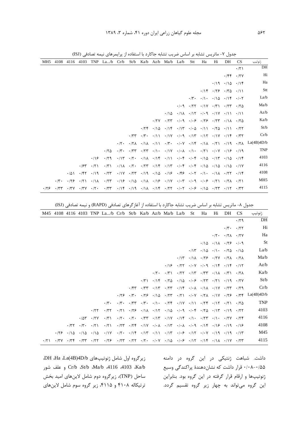| MH <sub>5</sub> | 4108               | 4116        | 4103        |                    | TNP $La/b$ $Cr/b$ | St/b        |             | Ka/b Az/b                                                  | Ma/b                                                                                                                                                                                                                                                                                                                                                                                                      | La/b                                                                                        | Stt                                                   | Ha                                                                                                                                                                                                                                                                                                                                                                                                                 | Hi | DH                                                       | CS                      | ژنوتيپ                                                                                                                                                        |
|-----------------|--------------------|-------------|-------------|--------------------|-------------------|-------------|-------------|------------------------------------------------------------|-----------------------------------------------------------------------------------------------------------------------------------------------------------------------------------------------------------------------------------------------------------------------------------------------------------------------------------------------------------------------------------------------------------|---------------------------------------------------------------------------------------------|-------------------------------------------------------|--------------------------------------------------------------------------------------------------------------------------------------------------------------------------------------------------------------------------------------------------------------------------------------------------------------------------------------------------------------------------------------------------------------------|----|----------------------------------------------------------|-------------------------|---------------------------------------------------------------------------------------------------------------------------------------------------------------|
|                 |                    |             |             |                    |                   |             |             |                                                            |                                                                                                                                                                                                                                                                                                                                                                                                           |                                                                                             |                                                       |                                                                                                                                                                                                                                                                                                                                                                                                                    |    |                                                          | $\cdot$ /٢١             | DH                                                                                                                                                            |
|                 |                    |             |             |                    |                   |             |             |                                                            |                                                                                                                                                                                                                                                                                                                                                                                                           |                                                                                             |                                                       |                                                                                                                                                                                                                                                                                                                                                                                                                    |    |                                                          | $\cdot$ /۴۴ $\cdot$ /۲۷ | Hi                                                                                                                                                            |
|                 |                    |             |             |                    |                   |             |             |                                                            |                                                                                                                                                                                                                                                                                                                                                                                                           |                                                                                             |                                                       |                                                                                                                                                                                                                                                                                                                                                                                                                    |    | $\cdot$ /19 $\cdot$ /10 $\cdot$ /14                      |                         | Ha                                                                                                                                                            |
|                 |                    |             |             |                    |                   |             |             |                                                            |                                                                                                                                                                                                                                                                                                                                                                                                           |                                                                                             |                                                       |                                                                                                                                                                                                                                                                                                                                                                                                                    |    | $\cdot$ /14 $\cdot$ /79 $\cdot$ /70 $\cdot$ /11          |                         | Stt                                                                                                                                                           |
|                 |                    |             |             |                    |                   |             |             |                                                            |                                                                                                                                                                                                                                                                                                                                                                                                           |                                                                                             |                                                       | $\cdot$ $\uparrow$ $\cdot$ $\cdot$ $\uparrow$ $\cdot$ $\cdot$ $\uparrow$ $\uparrow$ $\uparrow$ $\uparrow$ $\uparrow$ $\uparrow$ $\uparrow$ $\uparrow$ $\uparrow$ $\uparrow$ $\uparrow$ $\uparrow$ $\uparrow$ $\uparrow$ $\uparrow$ $\uparrow$ $\uparrow$ $\uparrow$ $\uparrow$ $\uparrow$ $\uparrow$ $\uparrow$ $\uparrow$ $\uparrow$ $\uparrow$ $\uparrow$ $\uparrow$ $\uparrow$ $\uparrow$ $\uparrow$ $\uparrow$ |    |                                                          |                         | La/b                                                                                                                                                          |
|                 |                    |             |             |                    |                   |             |             |                                                            |                                                                                                                                                                                                                                                                                                                                                                                                           |                                                                                             | $\cdot$ $\cdot$ $\cdot$ $\cdot$ $\uparrow$ $\uparrow$ |                                                                                                                                                                                                                                                                                                                                                                                                                    |    | $\cdot$ /17 $\cdot$ /٣1 $\cdot$ /٢٣ $\cdot$ /٢۵          |                         | Ma/b                                                                                                                                                          |
|                 |                    |             |             |                    |                   |             |             |                                                            |                                                                                                                                                                                                                                                                                                                                                                                                           | $\cdot / 10$ $\cdot / 11$ $\cdot / 17$ $\cdot / 19$ $\cdot / 11$ $\cdot / 11$ $\cdot / 11$  |                                                       |                                                                                                                                                                                                                                                                                                                                                                                                                    |    |                                                          |                         | Az/b                                                                                                                                                          |
|                 |                    |             |             |                    |                   |             |             | $\cdot$ /۲۷                                                | $\cdot$ /۲۳                                                                                                                                                                                                                                                                                                                                                                                               |                                                                                             |                                                       |                                                                                                                                                                                                                                                                                                                                                                                                                    |    |                                                          |                         | Ka/b                                                                                                                                                          |
|                 |                    |             |             |                    |                   |             | $\cdot$ /۲۴ | $\cdot$ /14                                                |                                                                                                                                                                                                                                                                                                                                                                                                           | $\cdot$ /14 $\cdot$ /17 $\cdot$ / $\cdot$ $\circ$ $\cdot$ /11                               |                                                       |                                                                                                                                                                                                                                                                                                                                                                                                                    |    | $\cdot$ /۲۵ $\cdot$ /۱۱ $\cdot$ /۲۲                      |                         | St/b                                                                                                                                                          |
|                 |                    |             |             |                    |                   | $\cdot$ /۳۳ |             | $\cdot$ $\uparrow \cdot$ $\cdot$ $\mid$ $\uparrow \rangle$ |                                                                                                                                                                                                                                                                                                                                                                                                           | $\cdot$ /1Y $\cdot$ / $\cdot$ 9 $\cdot$ /1۳ $\cdot$ /1Y $\cdot$ /1Y $\cdot$ /1F $\cdot$ /۳۲ |                                                       |                                                                                                                                                                                                                                                                                                                                                                                                                    |    |                                                          |                         | Cr/b                                                                                                                                                          |
|                 |                    |             |             |                    |                   |             |             |                                                            |                                                                                                                                                                                                                                                                                                                                                                                                           |                                                                                             |                                                       |                                                                                                                                                                                                                                                                                                                                                                                                                    |    |                                                          |                         | $\cdot$ /۲۰ $\cdot$ /۲۸ $\cdot$ /۱۸ $\cdot$ /۱۱ $\cdot$ /۳ $\cdot$ $\cdot$ / $\cdot$ / $\cdot$ /۱۴ $\cdot$ /۱۸ $\cdot$ /۲۱ $\cdot$ /۱۹ $\cdot$ /۲۸ La(4B)4D/b |
|                 |                    |             |             |                    | $\cdot$ /۲۵       |             |             |                                                            | $\cdot$ $/$ $\uparrow$ $\cdot$ $/$ $\uparrow$ $\uparrow$ $\cdot$ $/$ $\uparrow$ $\cdot$ $\cdot$ $/$ $\uparrow$ $\downarrow$ $\uparrow$ $\downarrow$ $\uparrow$ $\uparrow$ $\uparrow$ $\uparrow$ $\uparrow$ $\uparrow$ $\uparrow$ $\uparrow$ $\uparrow$ $\uparrow$ $\uparrow$ $\uparrow$ $\uparrow$ $\uparrow$ $\uparrow$ $\uparrow$ $\uparrow$ $\uparrow$ $\uparrow$ $\uparrow$ $\uparrow$ $\uparrow$     |                                                                                             |                                                       |                                                                                                                                                                                                                                                                                                                                                                                                                    |    |                                                          |                         | <b>TNP</b>                                                                                                                                                    |
|                 |                    |             |             | .19                | $\cdot$ /۲۹       |             |             |                                                            | $\cdot/1$ $\cdot$ $\cdot/2$ $\cdot$ $\cdot/1$ $\cdot/1$ $\cdot$ $\cdot/1$ $\cdot/1$ $\cdot$ $\cdot/1$ $\cdot$ $\cdot$ $\cdot$ $\cdot/1$ $\cdot$ $\cdot/1$ $\cdot$ $\cdot/1$ $\cdot$ $\cdot/1$ $\cdot$                                                                                                                                                                                                     |                                                                                             |                                                       |                                                                                                                                                                                                                                                                                                                                                                                                                    |    |                                                          |                         | 4103                                                                                                                                                          |
|                 |                    |             |             | $.194$ $.171$      | $\cdot$ /۳)       |             |             |                                                            | $\cdot/\lambda$ $\cdot/\zeta$ $\cdot/\zeta$ $\cdot/\zeta$ $\cdot/\zeta$ $\cdot/\zeta$ $\cdot/\zeta$ $\cdot/\zeta$ $\cdot/\zeta$ $\cdot/\zeta$ $\cdot/\zeta$ $\cdot/\zeta$ $\cdot/\zeta$ $\cdot/\zeta$ $\cdot/\zeta$ $\cdot/\zeta$ $\cdot/\zeta$ $\cdot/\zeta$ $\cdot/\zeta$ $\cdot/\zeta$ $\cdot/\zeta$ $\cdot/\zeta$ $\cdot/\zeta$ $\cdot/\zeta$ $\cdot/\zeta$ $\cdot/\zeta$ $\cdot/\zeta$ $\cdot/\zeta$ |                                                                                             |                                                       |                                                                                                                                                                                                                                                                                                                                                                                                                    |    |                                                          |                         | 4116                                                                                                                                                          |
|                 |                    | $\cdot$ /5) | $\cdot$ /۴۲ | $\cdot$ /19        | $\cdot$ /۲۳       |             |             |                                                            | $\cdot/1$ V $\cdot/7$ $\cdot/1$ 9 $\cdot/1$ $\Delta$ $\cdot/1$ $\in$ $\cdot/5$ $\cdot/1$ $\cdot$ $\cdot/1$ $\cdot$                                                                                                                                                                                                                                                                                        |                                                                                             |                                                       |                                                                                                                                                                                                                                                                                                                                                                                                                    |    | $\cdot$ /11 $\cdot$ /۲۲ $\cdot$ /14                      |                         | 4108                                                                                                                                                          |
|                 | $\cdot$ /۳ $\cdot$ | ۰۱۲۶        | $\cdot$ /۲) | $\cdot/\lambda$    | $\cdot$ /۲۳       |             |             |                                                            | $\cdot$ /16 $\cdot$ /14 $\cdot$ /16 $\cdot$ /16 $\cdot$ /17 $\cdot$ / $\cdot$ 7 $\cdot$ / $\cdot$ 9 $\cdot$ / $\cdot$ 6 $\cdot$ / $\cdot$ 1                                                                                                                                                                                                                                                               |                                                                                             |                                                       |                                                                                                                                                                                                                                                                                                                                                                                                                    |    | $\cdot$ $ \mathsf{Y}\wedge \cdot \cdot \mathsf{Y}\wedge$ |                         | MH <sub>5</sub>                                                                                                                                               |
| ۰۱۲۶            | $\cdot$ /۳۳        | $\cdot$ /۳۷ | $\cdot$ /۳۷ | $\cdot$ /۲ $\cdot$ | $\cdot$ /۳۳       |             |             |                                                            | $\cdot$ /14 $\cdot$ /19 $\cdot$ /16 $\cdot$ /14 $\cdot$ /77 $\cdot$ / $\cdot$ 7 $\cdot$ / $\cdot$ <i>7 <math>\cdot</math>/16 <math>\cdot</math>/77 <math>\cdot</math>/77</i>                                                                                                                                                                                                                              |                                                                                             |                                                       |                                                                                                                                                                                                                                                                                                                                                                                                                    |    |                                                          |                         | 4115                                                                                                                                                          |

جدول ۷- ماتریس تشابه بر اساس ضریب تشابه جاکارد با استفاده از پرایمرهای نیمه تصادفی (ISJ)

جدول ۸- ماتریس تشابه بر اساس ضریب تشابه جاکارد با استفاده از آغازگرهای تصادفی (RAPD) و نیمه تصادفی (ISJ)

| M45         |             |                                             |                                                  |                                           | 4108 4116 4103 TNP La/b Cr/b St/b Ka/b Az/b Ma/b La/b |                    |                    |             |                    |                                                                                                                                                                                                                                                                                                    |                                                                                            | St | Ha | Hi | DH                                                                                             | <b>CS</b> | ژنوتيپ                                                                                                                 |
|-------------|-------------|---------------------------------------------|--------------------------------------------------|-------------------------------------------|-------------------------------------------------------|--------------------|--------------------|-------------|--------------------|----------------------------------------------------------------------------------------------------------------------------------------------------------------------------------------------------------------------------------------------------------------------------------------------------|--------------------------------------------------------------------------------------------|----|----|----|------------------------------------------------------------------------------------------------|-----------|------------------------------------------------------------------------------------------------------------------------|
|             |             |                                             |                                                  |                                           |                                                       |                    |                    |             |                    |                                                                                                                                                                                                                                                                                                    |                                                                                            |    |    |    |                                                                                                | .79       | DH                                                                                                                     |
|             |             |                                             |                                                  |                                           |                                                       |                    |                    |             |                    |                                                                                                                                                                                                                                                                                                    |                                                                                            |    |    |    | $\cdot$ /۳ $\cdot$ $\cdot$ /۲۲                                                                 |           | Hi                                                                                                                     |
|             |             |                                             |                                                  |                                           |                                                       |                    |                    |             |                    |                                                                                                                                                                                                                                                                                                    |                                                                                            |    |    |    | $\cdot$ $/7$ $\cdot$ $\cdot$ $/7$ $/7$ $\cdot$ $/7$ $\vee$                                     |           | Ha                                                                                                                     |
|             |             |                                             |                                                  |                                           |                                                       |                    |                    |             |                    |                                                                                                                                                                                                                                                                                                    |                                                                                            |    |    |    | $\cdot$ /10 $\cdot$ /11 $\cdot$ /78 $\cdot$ / $\cdot$ 9                                        |           | <b>St</b>                                                                                                              |
|             |             |                                             |                                                  |                                           |                                                       |                    |                    |             |                    |                                                                                                                                                                                                                                                                                                    |                                                                                            |    |    |    | $\cdot$ /15 $\cdot$ /10 $\cdot$ /1 $\cdot$ $\cdot$ /70 $\cdot$ /10                             |           | La/b                                                                                                                   |
|             |             |                                             |                                                  |                                           |                                                       |                    |                    |             |                    |                                                                                                                                                                                                                                                                                                    |                                                                                            |    |    |    | $\cdot$ /17 $\cdot$ /11 $\cdot$ /7 $\cdot$ $\cdot$ /7Y $\cdot$ /71 $\cdot$ /71                 |           | Ma/b                                                                                                                   |
|             |             |                                             |                                                  |                                           |                                                       |                    |                    |             |                    |                                                                                                                                                                                                                                                                                                    | $\cdot / 19$ $\cdot / 57$ $\cdot / 10$ $\cdot / 19$ $\cdot / 15$ $\cdot / 15$ $\cdot / 17$ |    |    |    |                                                                                                |           | Az/b                                                                                                                   |
|             |             |                                             |                                                  |                                           |                                                       |                    |                    |             | $\cdot$ /۲ $\cdot$ | $\cdot$ /۳)                                                                                                                                                                                                                                                                                        |                                                                                            |    |    |    | $\cdot$ /۲۲ $\cdot$ /۱۳ $\cdot$ /۳۳ $\cdot$ /۱۸ $\cdot$ /۳۱ $\cdot$ /۲۸                        |           | Ka/b                                                                                                                   |
|             |             |                                             |                                                  |                                           |                                                       |                    |                    | $\cdot$ /۳) | $\cdot$ /\۴        | $\cdot$ /۲۵                                                                                                                                                                                                                                                                                        |                                                                                            |    |    |    | $\cdot / 10$ $\cdot / 15$ $\cdot / 177$ $\cdot / 11$ $\cdot / 19$ $\cdot / 17$                 |           | St/b                                                                                                                   |
|             |             |                                             |                                                  |                                           |                                                       |                    | $\cdot$ /۴۳        | $\cdot$ /۳۳ | $\cdot$ /۱۳        | $\cdot$ /۲۳                                                                                                                                                                                                                                                                                        |                                                                                            |    |    |    | $\cdot$ /14 $\cdot$ / $\cdot$ $\wedge$ $\cdot$ /1 $\wedge$ $\cdot$ /1Y $\cdot$ /77 $\cdot$ /79 |           | Cr/b                                                                                                                   |
|             |             |                                             |                                                  |                                           |                                                       | ۰۱۲۶               | $\cdot$ /۳ $\cdot$ |             |                    |                                                                                                                                                                                                                                                                                                    |                                                                                            |    |    |    |                                                                                                |           | $\cdot$ /۲۶ $\cdot$ /۱۵ $\cdot$ /۲۳ $\cdot$ /۲۱ $\cdot$ /۰۷ $\cdot$ /۲۸ $\cdot$ /۱۷ $\cdot$ /۲۶ $\cdot$ /۳۴ La(4B)4D/b |
|             |             |                                             |                                                  |                                           | $\cdot \pi$ .                                         | $\cdot$ /۳ $\cdot$ |                    |             |                    | $\cdot$ /۳۳ $\cdot$ /۳۰ $\cdot$ /۱۰ $\cdot$ /۲۴ $\cdot$ /۱۷ $\cdot$ /۱۱ $\cdot$ /۲۴ $\cdot$ /۱۲ $\cdot$ /۲۵                                                                                                                                                                                        |                                                                                            |    |    |    |                                                                                                |           | <b>TNP</b>                                                                                                             |
|             |             |                                             |                                                  | $\cdot$ /۲۲                               | $\cdot$ /۳۲                                           |                    |                    |             |                    | $\cdot$ $/5$ $\cdot$ $/5$ $\cdot$ $/1$ $\lambda$ $\cdot$ $/15$ $\cdot$ $/10$ $\cdot$ $/10$ $\cdot$ $/15$ $\cdot$ $/5$ $\cdot$ $/5$ $\cdot$ $/5$ $\cdot$ $/5$ $\cdot$ $/5$ $\cdot$ $/5$ $\cdot$ $/5$ $\cdot$ $/5$ $\cdot$ $/5$ $\cdot$ $/5$ $\cdot$ $/5$ $\cdot$ $/5$ $\cdot$ $/5$ $\cdot$ $/5$ $\$ |                                                                                            |    |    |    |                                                                                                |           | 4103                                                                                                                   |
|             |             |                                             |                                                  | $\cdot$ / $\Delta Y$ $\cdot$ / $\gamma V$ | $\cdot$ /٣)                                           |                    |                    |             |                    | $\cdot$ $/5$ $\cdot$ $/5$ $\cdot$ $/5$ $\cdot$ $/15$ $\cdot$ $/10$ $\cdot$ $/15$ $\cdot$ $/15$ $\cdot$ $/55$ $\cdot$ $/15$ $\cdot$ $/55$ $\cdot$ $/55$                                                                                                                                             |                                                                                            |    |    |    |                                                                                                |           | 4116                                                                                                                   |
|             |             |                                             | $\cdot$ $/77$ $\cdot$ $/7$ $\cdot$ $\cdot$ $/71$ |                                           | $\cdot$ /٢١                                           |                    |                    |             |                    | $\cdot$ /۲۳ $\cdot$ /۲۴ $\cdot$ /۱۷ $\cdot$ / $\cdot$ ۸ $\cdot$ /۱۳ $\cdot$ / $\cdot$ Λ $\cdot$ / $\cdot$ ۹ $\cdot$ /۱۴ $\cdot$ /19 $\cdot$ /1۶                                                                                                                                                    |                                                                                            |    |    |    |                                                                                                |           | 4108                                                                                                                   |
|             |             | $\cdot$ $\frac{1}{2}$ $\cdot$ $\frac{1}{2}$ |                                                  | $\cdot$ /10 $\cdot$ /10                   | $\cdot$ /\Y                                           |                    |                    |             |                    | $\cdot$ /۲۰ $\cdot$ /۱۴ $\cdot$ /۱۳ $\cdot$ /۱۱ $\cdot$ /۱۳ $\cdot$ / $\cdot$ /۰۶ $\cdot$ /۱۲ $\cdot$ /۰۷ $\cdot$ /۱۹ $\cdot$ /۱۳                                                                                                                                                                  |                                                                                            |    |    |    |                                                                                                |           | M45                                                                                                                    |
| $\cdot$ /۲۱ | $\cdot$ /۳۷ | $\cdot$ /۳۴                                 | $\cdot$ /۳۳                                      | $\cdot$ /۲۲                               | ۰۱۲۶                                                  |                    |                    |             |                    | $\cdot$ /۲۳ $\cdot$ /۲۲ $\cdot$ /۲۰ $\cdot$ /۰۷ $\cdot$ /۱۵ $\cdot$ /۰۶ $\cdot$ /۱۲ $\cdot$ /۱۴ $\cdot$ /۱۸ $\cdot$ /۲۳                                                                                                                                                                            |                                                                                            |    |    |    |                                                                                                |           | 4115                                                                                                                   |

داشت. شیاهت ژنتیکی در این گروه در دامنه ۰/۰۸-۰/۵۵ قال داشت که نشان دهندهٔ براکندگی وسیع .<br>ژوتیبها و ارقام قرار گرفته در این گروه بود. بناداین <u>:</u> ابن گروه می تواند به جهار زبر گروه تقسیم گردد.

.<br>زیرگروه اول شامل ژنوتیپهای DH ،Ha ،La(4B)4D/b، <u>:</u> -I VE ( Cr/b !St/b !Ma/b !4116 !<sup>4103</sup> !Ka/b ساحل (TNP)، زیرگروه دوم شامل لاینهای امید بخش .<br>ترتیکاله ۴۱۰۸ و ۴۱۱۵، زبر گروه سوم شامل لاینهای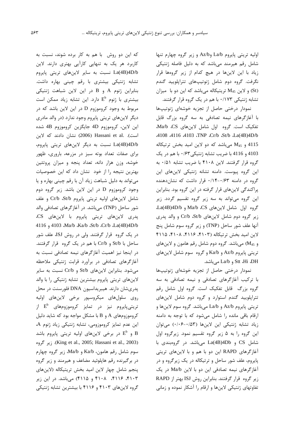اولیه تریتی پایروم La/b و Az/b و زیر گروه چهارم تنها شامل رقم هیرمند می باشد که به دلیل فاصله ژنتیکی زیاد با این لاینها در هیچ کدام از زیر گروهها قرار نگرفت. گروه دوم شامل ژنوتیپهای تتراپلویید گندم (St) و لاین M45 تریتیکاله میباشد که این دو با میزان تشابه ژنتیکی ۰/۱۷۳ با هم در یک گروه قرار گرفتند.

نمودار درختی حاصل از تجزیه خوشهای ژنوتیپها با آغازگرهای نیمه تصادفی به سه گروه بزرگ قابل تفكيك است. كروه اول شامل لاين هاى Ma/b ،CS. .4108 .4116 .4103 .TNP .Cr/b .St/b .La(4B)4D/b 4115 و M<sub>45</sub> میباشد که دو لاین امید بخش ترتیکاله 4103 و 4116 با ضريب تشابه ژنتيكي ۰/۶۳ با هم در يک گروه قرار گرفتند. لاین ۴۱۰۸ با ضریب تشابه ۰/۵۱ به این گروه پیوست. دامنه تشانه ژنتیکی لاینهای این گروه در دامنه ۰/۱۴-۰/۴۳ قرار داشت که نشان دهنده پراکندگی لاینهای قرار گرفته در این گروه بود. بنابراین این گروه می تواند به سه زیر گروه تقسیم گردد. زیر گروه اول شامل لاینهای Ma/b ،CS و La(4B)4D/b. زیر گروه دوم شامل لاینهای Cr/b ،St/b و والد پدری آنها علف شور ساحل (TNP) و زير گروه سوم شامل پنج لاین امید بخش ترتیکاله (۴۱۰۳، ۴۱۱۶، ۴۱۱۵، ۴۱۱۵ و M<sub>45</sub>) میباشد. گروه دوم شامل رقم هامون و لاینهای تريتي پايروم Az/b و Ka/b و گروه سوم شامل لاينهاي Stt ،Hi ،DH و La/b مىباشد.

نمودار درختی حاصل از تجزیه خوشهای ژنوتیپها با ترکیب آغازگرهای تصادفی و نیمه تصادفی به سه گروه بزرگ قابل تفکیک است. گروه اول شامل رقم تترایلویید گندم استوارد و گروه دوم شامل لاینهای تريتي پايروم Az/b و La/b ميباشد. گروه سوم لاينها و ارقام باقی مانده را شامل میشود که با توجه به دامنه زیاد تشابه ژنتیکی این لاینها (۵۳-۰/۰۶) می توان این گروه را به ۵ زیر گروه تقسیم نمود. زیرگروه اول شامل CS و La(4B)4Db میباشد. در گروهبندی با آغازگرهای RAPD این دو با هم و با لاینهای تریتی پایروم، علف شور ساحل و ترتیکاله در یک زیرگروه و در آغازگرهای نیمه تصادفی این دو با لاین Ma/b در یک زير گروه قرار گرفتند. بنابراين روش ISJ بهتر از RAPD تفاوتهای ژنتیکی لاینها و ارقام را آشکار نموده و زمانی

که این دو روش با هم به کار برده شوند، نسبت به کاربرد هر یک به تنهایی کارآیی بهتری دارند. لاین La(4B)4D/b نسبت به سایر لاینهای تریتی پایروم تشابه ژنتیکی بیشتری با رقم چینی بهاره داشت. بنابراین ژنوم A و B در این لاین شباهت ژنتیکی بیشتری با ژنوم "E دارد. این تشابه زیاد ممکن است مربوط به وجود کروموزوم D در این لاین باشد که در دیگر لاینهای تریتی پایروم وجود ندارد (در والد مادری اين لاين، كروموزوم 4D جايگزين كروموزوم 4B شده است). Hassani et al. (2006) نشان دادند که لاین La(4B)4D/b نسبت به دیگر لاینهای تریتی پایروم، برای صفات تعداد بوته سبز در مزرعه، باروری، ظهور خوشه، وزن هزار دانه، تعداد پنجه و میزان پروتئین بهترین نتیجه را از خود نشان داد که این خصوصیات می تواند به دلیل شباهت زیاد آن با رقم چینی بهاره و یا وجود کروموزوم D در این لاین باشد. زیر گروه دوم شامل لاینهای اولیه تریتی پایروم Cr/b &t/b و علف شور ساحل (TNP) میباشد. در آغازگرهای تصادفی والد پدری لاینهای تریتی پایروم با لاینهای CS، 4116 , 4103 Ma/b Ka/b St/b Cr/b La(4B)4D/b در یک گروه قرار گرفتند. ولی در روش ISJ، علف شور ساحل با St/b و Cr/b با هم در یک گروه قرار گرفتند. در اینجا نیز اهمیت آغازگرهای نیمه تصادفی نسبت به آغازگرهای تصادفی در برآورد قرابت ژنتیکی ملاحظه می شود. بنابراین لاینهای St/b و Cr/b نسبت به سایر لاینهای تریتی پایروم بیشترین تشابه ژنتیکی را با والد پدریشان دارند. هیبریداسیون DNA فلورسنت در محل روی سلولهای میکروسیور برخی لاینهای اولیه تریتیپایروم نیز در تمایز کروموزومهای  $\mathrm{E}^{\mathrm{b}}$  از کروموزومهای A و B با مشکل مواجه بود که شاید دلیل این عدم تمایز کروموزومی، تشابه ژنتیکی زیاد ژنوم A، و "E و در برخی لاینهای اولیه تریتی پایروم باشد B (King et al., 2005; Hassani et al., 2003). زير گروه سوم شامل رقم هامون، Ka/b و Ma/b، زير گروه چهارم در برگیرنده رقم هاپلوئید مضاعف و هیرمند و زیر گروه پنجم شامل چهار لاین امید بخش تریتیکاله (لاینهای ۴۱۰۳، ۴۱۱۶، ۴۱۰۸ و ۴۱۱۵) میباشد. در این زیر گروه لاینهای ۴۱۰۳ و ۴۱۱۶ با بیشترین تشابه ژنتیکی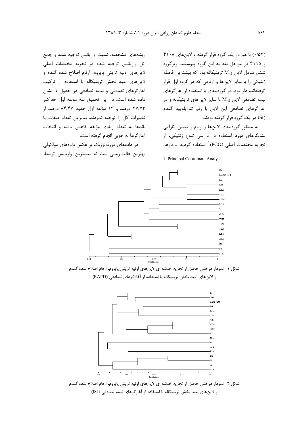(۰/۵۳) با هم در یک گروه قرار گرفته و لاینهای ۴۱۰۸ و ۴۱۱۵ در مراحل بعد به این گروه پیوستند. زیرگروه ششم شامل لاین M45 تریتیکاله بود که بیشترین فاصله ژنتیکی را با سایر لاینها و ارقامی که در گروه اول قرار گرفتهاند، دارا بود. در گروهبندی با استفاده از آغازگرهای نیمه تصادفی لاین M<sub>45</sub> با سایر لاینهای تریتیکاله و در آغازگرهای تصادفی این لاین با رقم تتراپلویید گندم (St) در یک گروه قرار گرفته بودند.

به منظور گروهبندی لاینها و ارقام و تعیین کارآیی نشانگرهای مورد استفاده در بررسی تنوع ژنتیکی، از تجزيه مختصات اصلى (PCO)<sup>\</sup> استفاده گرديد. بردارها،

1. Principal Coordinate Analysis

ریشههای مشخصه، نسبت واریانس توجیه شده و جمع كل واريانس توجيه شده در تجزيه مختصات اصلى لاینهای اولیه تریتی پایروم، ارقام اصلاح شده گندم و لاینهای امید بخش تریتیکاله با استفاده از ترکیب آغازگرهای تصادفی و نیمه تصادفی در جدول ۹ نشان داده شده است. در این تحقیق سه مولفه اول حداکثر ٢٧/٧٣ درصد و ١٣ مؤلفه اول حدود ٨۴/۴۷ درصد از تغييرات كل را توجيه نمودند. بنابراين تعداد صفات يا باندها به تعداد زیادی مؤلفه کاهش یافته و انتخاب آغاز گرها به خوبی انجام گرفته است.

در دادههای مورفولوژیک بر عکس دادههای مولکولی بهترین حالت زمانی است که بیشترین واریانس توسط



شکل ١- نمودار درختي حاصل از تجزيه خوشه اي لاينهاي اوليه تريتي پايروم، ارقام اصلاح شده گندم و لاینهای امید بخش تریتیکاله با استفاده از آغاز گرهای تصادفی (RAPD)



شکل ۲- نمودار درختی حاصل از تجزیه خوشه ای لاینهای اولیه تریتی پایروم، ارقام اصلاح شده گندم و لاینهای امید بخش تریتیکاله با استفاده از آغاز گرهای نیمه تصادفی (ISJ)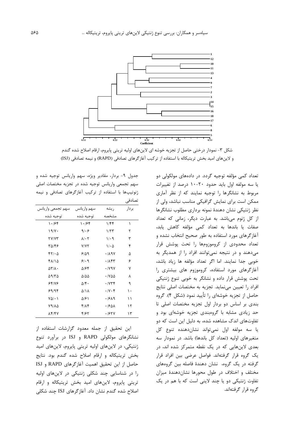

شکل ۳- نمودار درختی حاصل از تجزیه خوشه ای لاینهای اولیه تریتی پایروم، ارقام اصلاح شده گندم و لاینهای امید بخش تریتیکاله با استفاده از ترکیب آغازگرهای تصادفی (RAPD) و نیمه تصادفی (ISJ)

جدول ۹- بردار، مقادیر ویژه، سهم واریانس توجیه شده و سهم تجمعي واريانس توجيه شده در تجزيه مختصات اصلي ژنوتیپها با استفاده از ترکیب آغازگرهای تصادفی و نیمه تصادفى

| سهم تجمعي واريانس                  | سهم واريانس                | ريشه                                     | بردار |
|------------------------------------|----------------------------|------------------------------------------|-------|
| توجيه شده                          | توجيه شده                  | مشخصه                                    |       |
| ۱۰۱۶۴                              | ۱۰۱۶۴                      | ۱/۴۴                                     | ١     |
| 19/Y                               | 9/29                       | 1/TT                                     | ٢     |
| <b>TY/YT</b>                       | $\lambda$ / $\cdot$ $\tau$ | $1/\cdot$ 9                              | ٣     |
| ۳۵/۴۶                              | <b>Y/YY</b>                | $1/\cdot \Delta$                         | ۴     |
| 57/20                              | 9/09                       | .719V                                    | ۵     |
| ۴۸/۱۵                              | 5.9                        | $\cdot$ / $\wedge$ $\uparrow$ $\uparrow$ | ۶     |
| $\Delta \mathbf{Y} / \mathbf{A}$ . | ۵۱۶۴                       | $\cdot$ / $\vee$ 9 $\vee$                | ٧     |
| ۱۳۵/۵                              | $\Delta/\Delta\Delta$      | $\cdot$ / $\vee$ $\triangle$             | ٨     |
| ۶۴/۷۶                              | $\Delta$ /۴۰               | .774                                     | ٩     |
| ۶۹/۹۴                              | ۵/۱۸                       | $\cdot$ /Y $\cdot$ ۴                     | ۱۰    |
| $Y\Delta/\cdot$ )                  | ۵۱۶۱                       | ۱۶۸۹.                                    | ۱۱    |
| 79/82                              | ۴۱۸۴                       | ۰۱۶۵۸                                    | ۱۲    |
| 84/14                              | ۴۱۶۲                       | ۰/۶۲۷                                    | ۱۳    |

این تحقیق از جمله معدود گزارشات استفاده از نشانگرهای مولکولی RAPD و ISJ در برآورد تنوع ژنتیکی، در لاینهای اولیه تریتی پایروم، لاینهای امید بخش تريتيكاله وارقام اصلاح شده گندم بود. نتايج حاصل از این تحقیق اهمیت آغازگرهای RAPD و ISJ را در شناسایی چند شکلی ژنتیکی در لاینهای اولیه تریتی پایروم، لاینهای امید بخش تریتیکاله و ارقام اصلاح شده گندم نشان داد. آغازگرهای ISJ چند شکلی

تعداد کمی مؤلفه توجیه گردد. در دادههای مولکولی دو یا سه مولفه اول باید حدود ۲۰-۱۰ درصد از تغییرات مربوط به نشانگرها را توجیه نمایند که از نظر آماری ممکن است برای نمایش گرافیکی مناسب نباشد، ولی از نظر ژنتیکی نشان دهندهٔ نمونه برداری مطلوب نشانگرها از کل ژنوم میباشد. به عبارت دیگر، زمانی که تعداد صفات یا باندها به تعداد کمی مؤلفه کاهش یابد، آغازگرهای مورد استفاده به طور صحیح انتخاب نشده و تعداد محدودی از کروموزومها را تحت پوشش قرار می دهند و در نتیجه نمی توانند افراد را از همدیگر به خوبی جدا نمایند. اما اگر تعداد مؤلفه ها زیاد باشد، آغازگرهای مورد استفاده، کروموزوم های بیشتری را تحت پوشش قرار داده و نشانگر به خوبی تنوع ژنتیکی افراد را تعيين مى نمايد. تجزيه به مختصات اصلى نتايج حاصل از تجزیه خوشهای را تأیید نمود (شکل ۴). گروه بندی بر اساس دو بردار اول تجزیه مختصات اصلی تا حد زیادی مشابه با گروهبندی تجزیه خوشهای بود و تفاوتهای اندک مشاهده شده، به دلیل این است که دو يا سه مولفه اول نمي تواند نشان دهنده تنوع كل متغیرهای اولیه (تعداد کل باندها) باشد. در نمودار سه بعدی لاینهایی که در یک نقطه متمرکز شده اند، در یک گروه قرار گرفتهاند. فواصل عرضی بین افراد قرار گرفته در یک گروه، نشان دهندهٔ فاصله بین گروههای مختلف و اختلاف در طول محورها نشاندهندهٔ میزان تفاوت ژنتیکی دو یا چند لاینی است که با هم در یک گروه قرار گرفتهاند.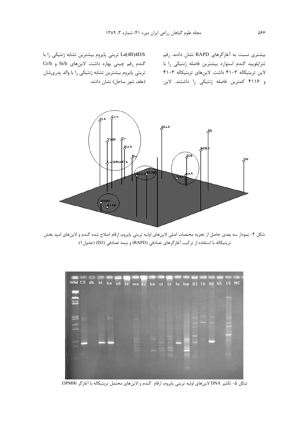بیشتری نسبت به آغازگرهای RAPD نشان دادند. رقم تتراپلویید گندم استوارد بیشترین فاصله ژنتیکی را با لاین تریتیکاله ۴۱۰۳ داشت. لاینهای تریتیکاله ۴۱۰۳ و ۴۱۱۶ كمترين فاصله ژنتيكي را داشتند. لاين (علف شور ساحل) نشان دادند.

La(4B)4D/b تريتي پايروم بيشترين تشابه ژنتيكي را با گندم رقم چینی بهاره داشت. لاینهای St/b و Cr/b تریتی پایروم بیشترین تشابه ژنتیکی را با والد پدریشان



شکل ۴- نمودار سه بعدی حاصل از تجزیه مختصات اصلی لاینهای اولیه تریتی پایروم، ارقام اصلاح شده گندم و لاینهای امید بخش تريتيكاله با استفاده از تركيب آغازگرهاي تصادفي (RAPD) و نيمه تصادفي (ISJ) (جدول ١).

| WM CS dh hi ha stt la ma az ka st cr lo tnp 03 16 08 h5 15 NC<br>E | œ |  |  |  |  |  |  |  |  | 1940 6250 |  |
|--------------------------------------------------------------------|---|--|--|--|--|--|--|--|--|-----------|--|
|                                                                    |   |  |  |  |  |  |  |  |  |           |  |
|                                                                    |   |  |  |  |  |  |  |  |  |           |  |
|                                                                    |   |  |  |  |  |  |  |  |  |           |  |

شكل ۵- تكثير DNA لاينهاي اوليه تريتي پايروم، ارقام گندم و لاينهاي محتمل تريتيكاله با آغازگر OPM06.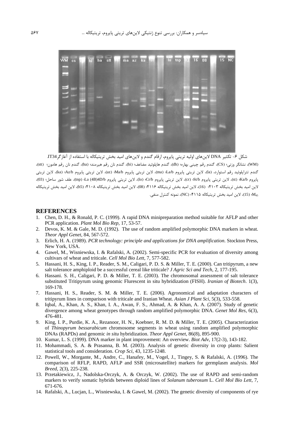

(WM)، نشانگر وزنی؛ (CS)، گندم رقم چینی بهاره؛ (dh) گندم هاپلوئید مضاعف؛ (hi)، گندم نان رقم هیرمند؛ (ha)، گندم نان رقم هامون؛ (stt)، گندم تتراپلوئید رقم استوارد، (la)، لاین تریتی پایروم La/b (ma) لاین تریتی پایروم Ma/b؛ (az)، لاین تریتی پایروم Az/b؛ (ka)، لاین تریتی پايروم Kd(st)، لاين تريتي پايروم cr) (cr)، لاين تريتي پايروم Cr/b؛ (lo)، لاين تريتي پايروم La (4B)4D/b؛ علف شور ساحل؛ (03)، لاين اميد بخش تريتيكاله ۴۱۰۳؛ (16)، لاين اميد بخش تريتيكاله ۴۱۱۶؛ (08)، لاين اميد بخش تريتيكاله ۴۱۰۸؛ (15)، لاين اميد بخش تريتيكاله .<br>45) (15)، لاین امید بخش تریتیکاله ۴۱۱۵؛ (NC)، نمونه کنترل منفی.

#### **REFERENCES**

- 1. Chen, D. H., & Ronald, P. C. (1999). A rapid DNA minipreparation method suitable for AFLP and other PCR application. *Plant Mol Bio Rep*, 17, 53-57.
- 2. Devos, K. M. & Gale, M. D. (1992). The use of random amplified polymorphic DNA markers in wheat. *Theor Appl Genet*, 84, 567-572.
- 3. Erlich, H. A. (1989). *PCR technology: principle and applications for DNA amplification*. Stockton Press, New York, USA.
- 4. Gawel, M., Wisniewska, I. & Rafalski, A. (2002). Semi-specific PCR for evaluation of diversity among cultivars of wheat and triticale. *Cell Mol Bio Lett*, 7, 577-582.
- 5. Hassani, H. S., King, I. P., Reader, S. M., Caligari, P. D. S. & Miller, T. E. (2000). Can tritipyrum, a new salt tolerance amphiploid be a successful cereal like triticale? *J Agric Sci and Tech*, 2, 177-195.
- 6. Hassani. S. H., Caligari, P. D. & Miller, T. E. (2003). The chromosomal assessment of salt tolerance substituted Tritipyrum using genomic Flurescent in situ hybridization (FISH). *Iranian of Biotech*. 1(3), 169-178.
- 7. Hassani, H. S., Reader, S. M. & Miller, T. E. (2006). Agronomical and adaptation characters of tritipyrum lines in comparison with triticale and Iranian Wheat. *Asian J Plant Sci*, 5(3), 533-558.
- 8. Iqbal, A., Khan, A. S., Khan, I. A., Awan, F. S., Ahmad, A. & Khan, A. A. (2007). Study of genetic divergence among wheat genotypes through random amplified polymorphic DNA. *Genet Mol Res*, 6(3), 476-481.
- 9. King, I. P., Purdie, K. A., Rezanoor, H. N., Koebner, R. M. D. & Miller, T. E. (2005). Characterization of *Thinopyrum bessarabicum* chromosome segments in wheat using random amplified polymorphic DNAs (RAPDs) and genomic *in situ* hybridization. *Theor Appl Genet*, 86(8), 895-900.
- 10. Kumar, L. S. (1999). DNA marker in plant improvement: An overview. *Biot Adv*, 17(2-3), 143-182.
- 11. Mohammadi, S. A. & Prasanna, B. M. (2003). Analysis of genetic diversity in crop plants: Salient statistical tools and consideration. *Crop Sci*, 43, 1235-1248.
- 12. Powell, W., Morgante, M., Andre, C., Hanafey, M., Vogel, J., Tingey, S. & Rafalski, A. (1996). The comparison of RFLP, RAPD, AFLP and SSR (microsatellite) markers for germplasm analysis. *Mol Breed*, 2(3), 225-238.
- 13. Przetakiewicz, J., Nadolska-Orczyk, A. & Orczyk, W. (2002). The use of RAPD and semi-random markers to verify somatic hybrids between diploid lines of *Solanum tuberosum* L. *Cell Mol Bio Lett*, 7, 671-676.
- 14. Rafalski, A., Lucjan, L., Wisniewska, I. & Gawel, M. (2002). The genetic diversity of components of rye